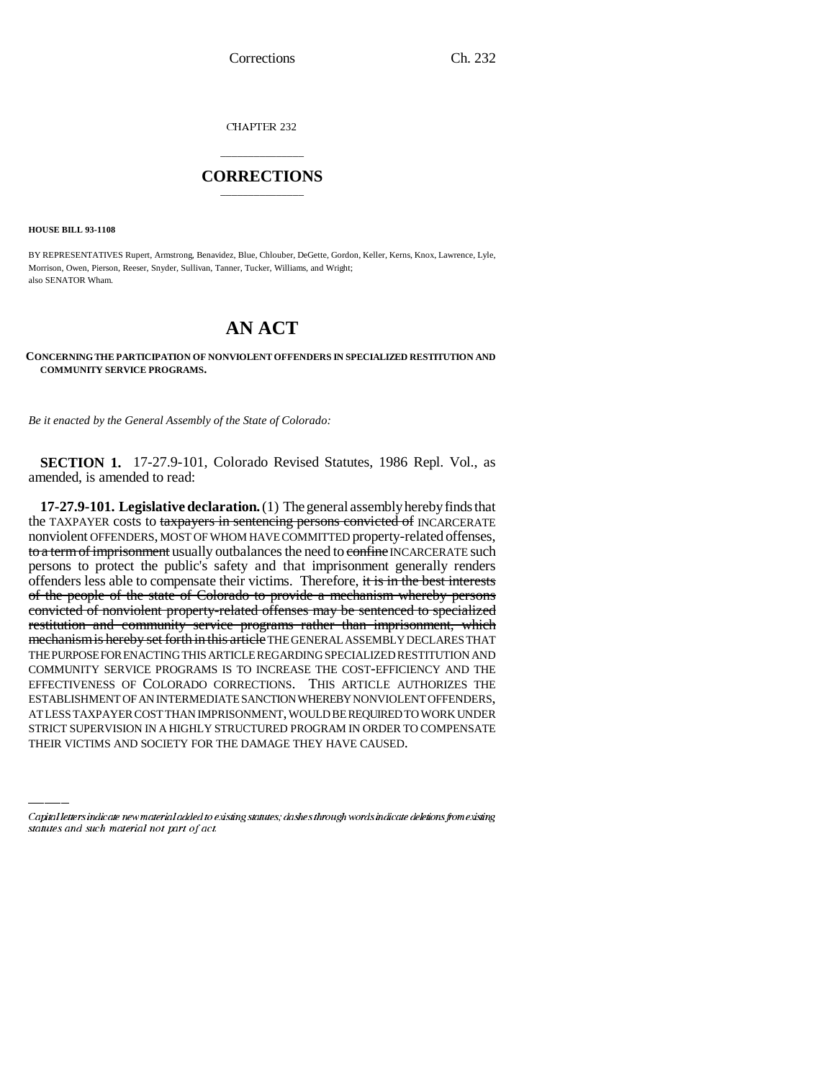CHAPTER 232

## \_\_\_\_\_\_\_\_\_\_\_\_\_\_\_ **CORRECTIONS** \_\_\_\_\_\_\_\_\_\_\_\_\_\_\_

**HOUSE BILL 93-1108**

BY REPRESENTATIVES Rupert, Armstrong, Benavidez, Blue, Chlouber, DeGette, Gordon, Keller, Kerns, Knox, Lawrence, Lyle, Morrison, Owen, Pierson, Reeser, Snyder, Sullivan, Tanner, Tucker, Williams, and Wright; also SENATOR Wham.

# **AN ACT**

**CONCERNING THE PARTICIPATION OF NONVIOLENT OFFENDERS IN SPECIALIZED RESTITUTION AND COMMUNITY SERVICE PROGRAMS.**

*Be it enacted by the General Assembly of the State of Colorado:*

**SECTION 1.** 17-27.9-101, Colorado Revised Statutes, 1986 Repl. Vol., as amended, is amended to read:

ESTABLISHMENT OF AN INTERMEDIATE SANCTION WHEREBY NONVIOLENT OFFENDERS, **17-27.9-101. Legislative declaration.** (1) The general assembly hereby finds that the TAXPAYER costs to taxpayers in sentencing persons convicted of INCARCERATE nonviolent OFFENDERS, MOST OF WHOM HAVE COMMITTED property-related offenses, to a term of imprisonment usually outbalances the need to confine INCARCERATE such persons to protect the public's safety and that imprisonment generally renders offenders less able to compensate their victims. Therefore, it is in the best interests of the people of the state of Colorado to provide a mechanism whereby persons convicted of nonviolent property-related offenses may be sentenced to specialized restitution and community service programs rather than imprisonment, which mechanism is hereby set forth in this article THE GENERAL ASSEMBLY DECLARES THAT THE PURPOSE FOR ENACTING THIS ARTICLE REGARDING SPECIALIZED RESTITUTION AND COMMUNITY SERVICE PROGRAMS IS TO INCREASE THE COST-EFFICIENCY AND THE EFFECTIVENESS OF COLORADO CORRECTIONS. THIS ARTICLE AUTHORIZES THE AT LESS TAXPAYER COST THAN IMPRISONMENT, WOULD BE REQUIRED TO WORK UNDER STRICT SUPERVISION IN A HIGHLY STRUCTURED PROGRAM IN ORDER TO COMPENSATE THEIR VICTIMS AND SOCIETY FOR THE DAMAGE THEY HAVE CAUSED.

Capital letters indicate new material added to existing statutes; dashes through words indicate deletions from existing statutes and such material not part of act.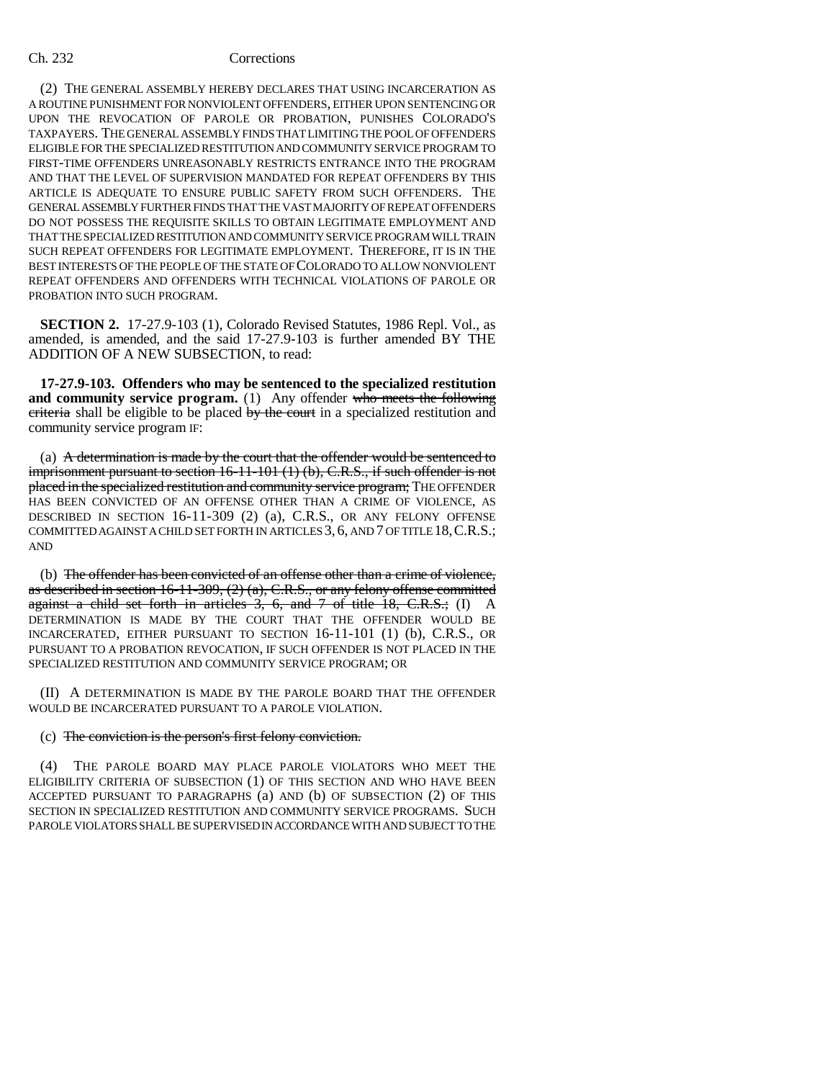### Ch. 232 Corrections

(2) THE GENERAL ASSEMBLY HEREBY DECLARES THAT USING INCARCERATION AS A ROUTINE PUNISHMENT FOR NONVIOLENT OFFENDERS, EITHER UPON SENTENCING OR UPON THE REVOCATION OF PAROLE OR PROBATION, PUNISHES COLORADO'S TAXPAYERS. THE GENERAL ASSEMBLY FINDS THAT LIMITING THE POOL OF OFFENDERS ELIGIBLE FOR THE SPECIALIZED RESTITUTION AND COMMUNITY SERVICE PROGRAM TO FIRST-TIME OFFENDERS UNREASONABLY RESTRICTS ENTRANCE INTO THE PROGRAM AND THAT THE LEVEL OF SUPERVISION MANDATED FOR REPEAT OFFENDERS BY THIS ARTICLE IS ADEQUATE TO ENSURE PUBLIC SAFETY FROM SUCH OFFENDERS. THE GENERAL ASSEMBLY FURTHER FINDS THAT THE VAST MAJORITY OF REPEAT OFFENDERS DO NOT POSSESS THE REQUISITE SKILLS TO OBTAIN LEGITIMATE EMPLOYMENT AND THAT THE SPECIALIZED RESTITUTION AND COMMUNITY SERVICE PROGRAM WILL TRAIN SUCH REPEAT OFFENDERS FOR LEGITIMATE EMPLOYMENT. THEREFORE, IT IS IN THE BEST INTERESTS OF THE PEOPLE OF THE STATE OF COLORADO TO ALLOW NONVIOLENT REPEAT OFFENDERS AND OFFENDERS WITH TECHNICAL VIOLATIONS OF PAROLE OR PROBATION INTO SUCH PROGRAM.

**SECTION 2.** 17-27.9-103 (1), Colorado Revised Statutes, 1986 Repl. Vol., as amended, is amended, and the said 17-27.9-103 is further amended BY THE ADDITION OF A NEW SUBSECTION, to read:

**17-27.9-103. Offenders who may be sentenced to the specialized restitution and community service program.** (1) Any offender who meets the following criteria shall be eligible to be placed by the court in a specialized restitution and community service program IF:

(a) A determination is made by the court that the offender would be sentenced to imprisonment pursuant to section 16-11-101 (1) (b), C.R.S., if such offender is not placed in the specialized restitution and community service program; THE OFFENDER HAS BEEN CONVICTED OF AN OFFENSE OTHER THAN A CRIME OF VIOLENCE, AS DESCRIBED IN SECTION 16-11-309 (2) (a), C.R.S., OR ANY FELONY OFFENSE COMMITTED AGAINST A CHILD SET FORTH IN ARTICLES 3, 6, AND 7 OF TITLE 18,C.R.S.; AND

(b) The offender has been convicted of an offense other than a crime of violence, as described in section 16-11-309,  $(2)$  (a), C.R.S., or any felony offense committed against a child set forth in articles  $3, 6,$  and  $7$  of title 18, C.R.S.; (I) A DETERMINATION IS MADE BY THE COURT THAT THE OFFENDER WOULD BE INCARCERATED, EITHER PURSUANT TO SECTION 16-11-101 (1) (b), C.R.S., OR PURSUANT TO A PROBATION REVOCATION, IF SUCH OFFENDER IS NOT PLACED IN THE SPECIALIZED RESTITUTION AND COMMUNITY SERVICE PROGRAM; OR

(II) A DETERMINATION IS MADE BY THE PAROLE BOARD THAT THE OFFENDER WOULD BE INCARCERATED PURSUANT TO A PAROLE VIOLATION.

### (c) The conviction is the person's first felony conviction.

(4) THE PAROLE BOARD MAY PLACE PAROLE VIOLATORS WHO MEET THE ELIGIBILITY CRITERIA OF SUBSECTION (1) OF THIS SECTION AND WHO HAVE BEEN ACCEPTED PURSUANT TO PARAGRAPHS (a) AND (b) OF SUBSECTION (2) OF THIS SECTION IN SPECIALIZED RESTITUTION AND COMMUNITY SERVICE PROGRAMS. SUCH PAROLE VIOLATORS SHALL BE SUPERVISED IN ACCORDANCE WITH AND SUBJECT TO THE